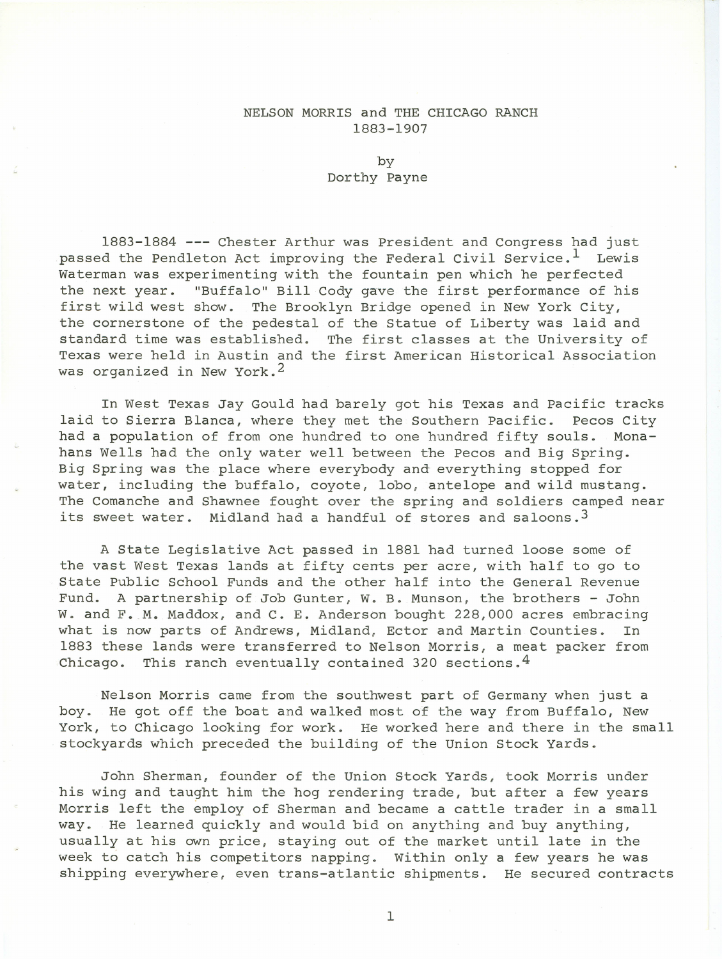## NELSON MORRIS and THE CHICAGO RANCH 1883-1907

by Dorthy Payne

1883-1884 --- Chester Arthur was President and Congress had just passed the Pendleton Act improving the Federal Civil Service.<sup>1</sup> Lewis Waterman was experimenting with the fountain pen which he perfected the next year. "Buffalo" Bill Cody gave the first performance of his first wild west show. The Brooklyn Bridge opened in New York City, the cornerstone of the pedestal of the Statue of Liberty was laid and standard time was established. The first classes at the University of Texas were held in Austin and the first American Historical Association was organized in New York.<sup>2</sup>

In West Texas Jay Gould had barely got his Texas and Pacific tracks laid to Sierra Blanca, where they met the Southern Pacific. Pecos City had a population of from one hundred to one hundred fifty souls. Monahans Wells had the only water well between the Pecos and Big Spring. Big Spring was the place where everybody and everything stopped for water, including the buffalo, coyote, lobo, antelope and wild mustang. The Comanche and Shawnee fought over the spring and soldiers camped near its sweet water. Midland had a handful of stores and saloons.<sup>3</sup>

A State Legislative Act passed in 1881 had turned loose some of the vast West Texas lands at fifty cents per acre, with half to go to State Public School Funds and the other half into the General Revenue Fund. A partnership of Job Gunter, W. B. Munson, the brothers - John W. and F. M. Maddox, and C. E. Anderson bought 228,000 acres embracing what is now parts of Andrews, Midland, Ector and Martin Counties. In 1883 these lands were transferred to Nelson Morris, a meat packer from Chicago. This ranch eventually contained 320 sections.  $4$ 

Nelson Morris came from the southwest part of Germany when just a boy. He got off the boat and walked most of the way from Buffalo, New York, to Chicago looking for work. He worked here and there in the small stockyards which preceded the building of the Union Stock Yards.

John Sherman, founder of the Union Stock Yards, took Morris under his wing and taught him the hog rendering trade, but after a few years Morris left the employ of Sherman and became a cattle trader in a small way. He learned quickly and would bid on anything and buy anything, usually at his own price, staying out of the market until late in the week to catch his competitors napping. Within only a few years he was shipping everywhere, even trans-atlantic shipments. He secured contracts

1